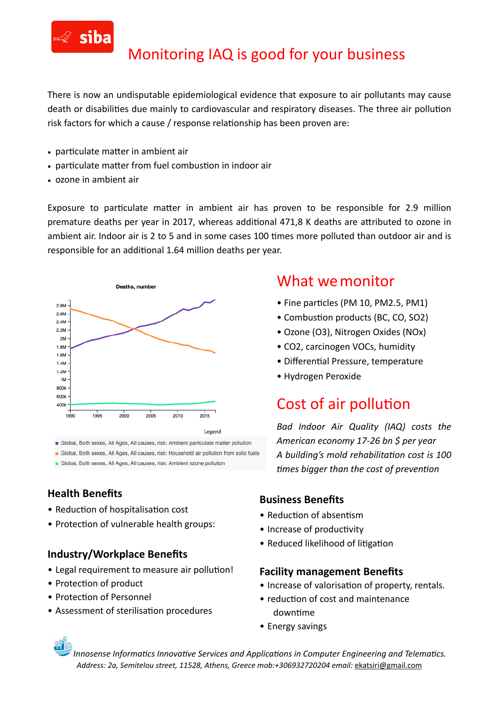

## Monitoring IAQ is good for your business

There is now an undisputable epidemiological evidence that exposure to air pollutants may cause death or disabilities due mainly to cardiovascular and respiratory diseases. The three air pollution risk factors for which a cause / response relationship has been proven are:

- particulate matter in ambient air
- particulate matter from fuel combustion in indoor air
- ozone in ambient air

Exposure to particulate matter in ambient air has proven to be responsible for 2.9 million premature deaths per year in 2017, whereas additional 471,8 K deaths are attributed to ozone in ambient air. Indoor air is 2 to 5 and in some cases 100 times more polluted than outdoor air and is responsible for an additional 1.64 million deaths per year.



Global, Both sexes, All Ages, All causes, risk: Ambient particulate matter pollution

· Global, Both sexes, All Ages, All causes, risk: Household air pollution from solid fuels

Global, Both sexes, All Ages, All causes, risk: Ambient ozone pollution

### **Health Benefits**

- Reduction of hospitalisation cost
- Protection of vulnerable health groups:

#### **Industry/Workplace Benefits**

- Legal requirement to measure air pollution!
- Protection of product
- Protection of Personnel
- Assessment of sterilisation procedures

### What we monitor

- Fine particles (PM 10, PM2.5, PM1)
- Combustion products (BC, CO, SO2)
- Ozone (Ο3), Nitrogen Oxides (NOx)
- CO2, carcinogen VOCs, humidity
- Differential Pressure, temperature
- Hydrogen Peroxide

### Cost of air pollution

*Bad Indoor Air Quality (IAQ) costs the American economy 17-26 bn \$ per year*  A building's mold rehabilitation cost is 100 *times bigger than the cost of prevention* 

#### **Business Benefits**

- $\bullet$  Reduction of absentism
- Increase of productivity
- Reduced likelihood of litigation

#### **Facility management Benefits**

- Increase of valorisation of property, rentals.
- $\bullet$  reduction of cost and maintenance downtime
- Energy savings

*Innosense Informatics Innovative Services and Applications in Computer Engineering and Telematics. Address: 2a, Semitelou street, 11528, Athens, Greece mob:+306932720204 email:* [ekatsiri@gmail.com](mailto:ekatsiri@gmail.com)